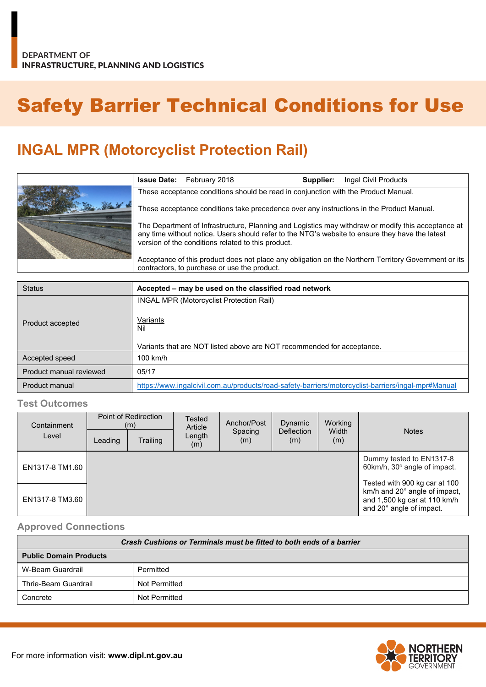# Safety Barrier Technical Conditions for Use

## **INGAL MPR (Motorcyclist Protection Rail)**

|              | <b>Issue Date:</b> February 2018                                                                                                                                                                                                                            | Ingal Civil Products<br>Supplier: |  |  |
|--------------|-------------------------------------------------------------------------------------------------------------------------------------------------------------------------------------------------------------------------------------------------------------|-----------------------------------|--|--|
|              | These acceptance conditions should be read in conjunction with the Product Manual.                                                                                                                                                                          |                                   |  |  |
| State of the | These acceptance conditions take precedence over any instructions in the Product Manual.                                                                                                                                                                    |                                   |  |  |
|              | The Department of Infrastructure, Planning and Logistics may withdraw or modify this acceptance at<br>any time without notice. Users should refer to the NTG's website to ensure they have the latest<br>version of the conditions related to this product. |                                   |  |  |
|              | Acceptance of this product does not place any obligation on the Northern Territory Government or its<br>contractors, to purchase or use the product.                                                                                                        |                                   |  |  |

| <b>Status</b>           | Accepted – may be used on the classified road network                                                                                 |  |  |  |
|-------------------------|---------------------------------------------------------------------------------------------------------------------------------------|--|--|--|
| Product accepted        | INGAL MPR (Motorcyclist Protection Rail)<br>Variants<br>Nil<br>Variants that are NOT listed above are NOT recommended for acceptance. |  |  |  |
| Accepted speed          | $100$ km/h                                                                                                                            |  |  |  |
| Product manual reviewed | 05/17                                                                                                                                 |  |  |  |
| Product manual          | https://www.ingalcivil.com.au/products/road-safety-barriers/motorcyclist-barriers/ingal-mpr#Manual                                    |  |  |  |

#### **Test Outcomes**

| Containment     | Point of Redirection<br>(m)                            |  | Tested<br>Article        | Anchor/Post  | Dynamic      | Working |                                                                                                                            |
|-----------------|--------------------------------------------------------|--|--------------------------|--------------|--------------|---------|----------------------------------------------------------------------------------------------------------------------------|
| Level           | Spacing<br>Length<br>Trailing<br>(m)<br>Leading<br>(m) |  | <b>Deflection</b><br>(m) | Width<br>(m) | <b>Notes</b> |         |                                                                                                                            |
| EN1317-8 TM1.60 |                                                        |  |                          |              |              |         | Dummy tested to EN1317-8<br>60km/h, 30° angle of impact.                                                                   |
| EN1317-8 TM3.60 |                                                        |  |                          |              |              |         | Tested with 900 kg car at 100<br>km/h and 20° angle of impact,<br>and 1,500 kg car at 110 km/h<br>and 20° angle of impact. |

#### **Approved Connections**

| Crash Cushions or Terminals must be fitted to both ends of a barrier |               |  |  |  |
|----------------------------------------------------------------------|---------------|--|--|--|
| <b>Public Domain Products</b>                                        |               |  |  |  |
| W-Beam Guardrail                                                     | Permitted     |  |  |  |
| Thrie-Beam Guardrail                                                 | Not Permitted |  |  |  |
| Concrete                                                             | Not Permitted |  |  |  |